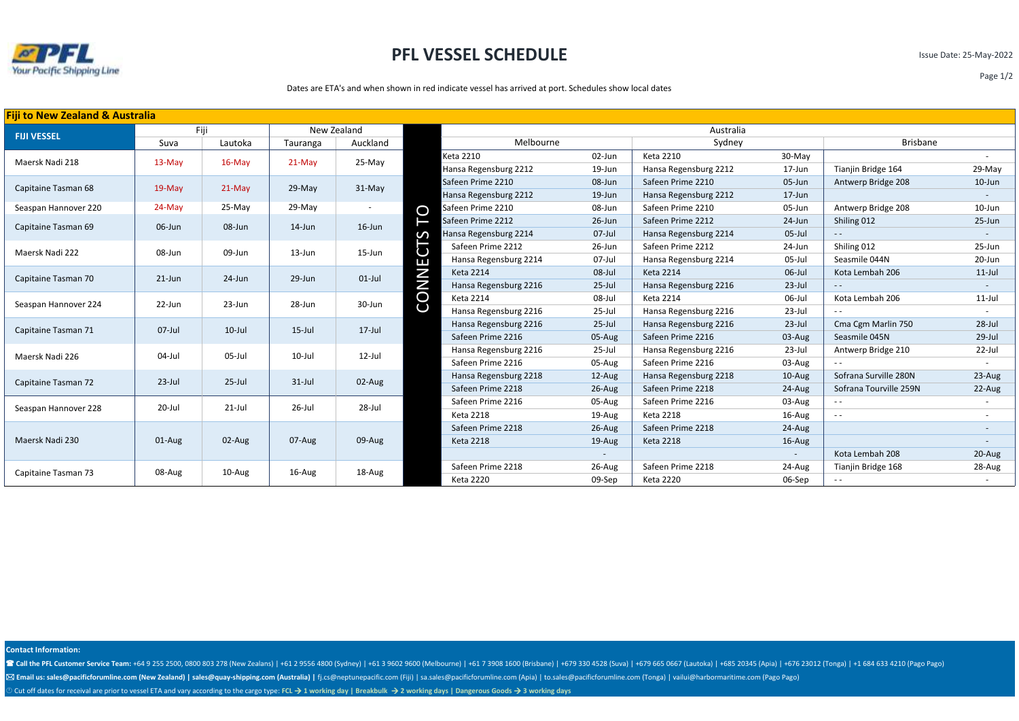

## **PFL VESSEL SCHEDULE**

Issue Date: 25-May-2022

Page 1/2

## Dates are ETA's and when shown in red indicate vessel has arrived at port. Schedules show local dates

| Fiji to New Zealand & Australia |           |            |             |            |              |                       |           |                       |                          |                        |            |
|---------------------------------|-----------|------------|-------------|------------|--------------|-----------------------|-----------|-----------------------|--------------------------|------------------------|------------|
|                                 | Fiji      |            | New Zealand |            |              | Australia             |           |                       |                          |                        |            |
| <b>FIJI VESSEL</b>              | Suva      | Lautoka    | Tauranga    | Auckland   | Melbourne    |                       | Sydney    |                       | <b>Brisbane</b>          |                        |            |
| Maersk Nadi 218                 | $13-May$  | $16$ -May  | $21-May$    | 25-May     |              | Keta 2210             | 02-Jun    | <b>Keta 2210</b>      | 30-May                   |                        |            |
|                                 |           |            |             |            |              | Hansa Regensburg 2212 | 19-Jun    | Hansa Regensburg 2212 | 17-Jun                   | Tianjin Bridge 164     | 29-May     |
| Capitaine Tasman 68             | $19-May$  | $21-May$   | 29-May      | 31-May     |              | Safeen Prime 2210     | 08-Jun    | Safeen Prime 2210     | 05-Jun                   | Antwerp Bridge 208     | $10$ -Jun  |
|                                 |           |            |             |            |              | Hansa Regensburg 2212 | $19$ -Jun | Hansa Regensburg 2212 | $17 - Jun$               |                        |            |
| Seaspan Hannover 220            | $24-May$  | 25-May     | $29-May$    |            | O            | Safeen Prime 2210     | 08-Jun    | Safeen Prime 2210     | 05-Jun                   | Antwerp Bridge 208     | 10-Jun     |
| Capitaine Tasman 69             | 06-Jun    | 08-Jun     | $14$ -Jun   | $16$ -Jun  |              | Safeen Prime 2212     | 26-Jun    | Safeen Prime 2212     | $24$ -Jun                | Shiling 012            | $25 - Jun$ |
|                                 |           |            |             |            | ഗ            | Hansa Regensburg 2214 | $07$ -Jul | Hansa Regensburg 2214 | $05$ -Jul                | $- -$                  |            |
| Maersk Nadi 222                 | 08-Jun    | 09-Jun     | 13-Jun      | $15 - Jun$ |              | Safeen Prime 2212     | 26-Jun    | Safeen Prime 2212     | 24-Jun                   | Shiling 012            | 25-Jun     |
|                                 |           |            |             |            | ш            | Hansa Regensburg 2214 | 07-Jul    | Hansa Regensburg 2214 | 05-Jul                   | Seasmile 044N          | 20-Jun     |
| Capitaine Tasman 70             | $21$ -Jun | 24-Jun     | 29-Jun      | $01$ -Jul  | Ζ            | <b>Keta 2214</b>      | 08-Jul    | <b>Keta 2214</b>      | 06-Jul                   | Kota Lembah 206        | $11$ -Jul  |
|                                 |           |            |             |            | $\mathsf{z}$ | Hansa Regensburg 2216 | $25$ -Jul | Hansa Regensburg 2216 | $23$ -Jul                | $\frac{1}{2}$          |            |
| Seaspan Hannover 224            | 22-Jun    | 23-Jun     | 28-Jun      | 30-Jun     | CO           | <b>Keta 2214</b>      | 08-Jul    | <b>Keta 2214</b>      | 06-Jul                   | Kota Lembah 206        | $11$ -Jul  |
|                                 |           |            |             |            |              | Hansa Regensburg 2216 | 25-Jul    | Hansa Regensburg 2216 | $23$ -Jul                | $\sim$ $\sim$          |            |
| Capitaine Tasman 71             | $07$ -Jul | $10$ -Jul  | $15$ -Jul   | $17 -$ Jul |              | Hansa Regensburg 2216 | $25$ -Jul | Hansa Regensburg 2216 | $23$ -Jul                | Cma Cgm Marlin 750     | $28$ -Jul  |
|                                 |           |            |             |            |              | Safeen Prime 2216     | 05-Aug    | Safeen Prime 2216     | 03-Aug                   | Seasmile 045N          | $29$ -Jul  |
| Maersk Nadi 226                 | 04-Jul    | $05$ -Jul  | $10$ -Jul   | $12$ -Jul  |              | Hansa Regensburg 2216 | 25-Jul    | Hansa Regensburg 2216 | $23$ -Jul                | Antwerp Bridge 210     | 22-Jul     |
|                                 |           |            |             |            |              | Safeen Prime 2216     | 05-Aug    | Safeen Prime 2216     | 03-Aug                   |                        |            |
| Capitaine Tasman 72             | $23$ -Jul | $25 -$ Jul | $31$ -Jul   | 02-Aug     |              | Hansa Regensburg 2218 | 12-Aug    | Hansa Regensburg 2218 | 10-Aug                   | Sofrana Surville 280N  | 23-Aug     |
|                                 |           |            |             |            |              | Safeen Prime 2218     | $26$ -Aug | Safeen Prime 2218     | 24-Aug                   | Sofrana Tourville 259N | 22-Aug     |
| Seaspan Hannover 228            | 20-Jul    | $21$ -Jul  | 26-Jul      | 28-Jul     |              | Safeen Prime 2216     | 05-Aug    | Safeen Prime 2216     | 03-Aug                   | $\frac{1}{2}$          |            |
|                                 |           |            |             |            |              | <b>Keta 2218</b>      | 19-Aug    | <b>Keta 2218</b>      | 16-Aug                   | $\frac{1}{2}$          |            |
| Maersk Nadi 230                 | $01$ -Aug | $02$ -Aug  | 07-Aug      | 09-Aug     |              | Safeen Prime 2218     | $26$ -Aug | Safeen Prime 2218     | $24-Aug$                 |                        |            |
|                                 |           |            |             |            |              | <b>Keta 2218</b>      | 19-Aug    | <b>Keta 2218</b>      | $16$ -Aug                |                        |            |
|                                 |           |            |             |            |              |                       |           |                       | $\overline{\phantom{a}}$ | Kota Lembah 208        | 20-Aug     |
| Capitaine Tasman 73             | 08-Aug    | 10-Aug     | 16-Aug      | 18-Aug     |              | Safeen Prime 2218     | 26-Aug    | Safeen Prime 2218     | 24-Aug                   | Tianjin Bridge 168     | 28-Aug     |
|                                 |           |            |             |            |              | <b>Keta 2220</b>      | 09-Sep    | <b>Keta 2220</b>      | 06-Sep                   |                        |            |

**Contact Information:**

Call the PFL Customer Service Team: +64 9 255 2500, 0800 803 278 (New Zealans) | +61 2 9556 4800 (Sydney) | +61 3 9602 9600 (Melbourne) | +61 7 3908 1600 (Brisbane) | +679 330 4528 (Suva) | +679 665 0667 (Lautoka) | +685 2 ⊠ Email us: sales@pacificforumline.com (New Zealand) | sales@quay-shipping.com (Australia) | fj.cs@neptunepacific.com (Fiji) | sa.sales@pacificforumline.com (Apia) | to.sales@pacificforumline.com (Tonga) | vailui@harborma Cut off dates for receival are prior to vessel ETA and vary according to the cargo type: **FCL** → **1 working day | Breakbulk** → **2 working days | Dangerous Goods** → **3 working days**